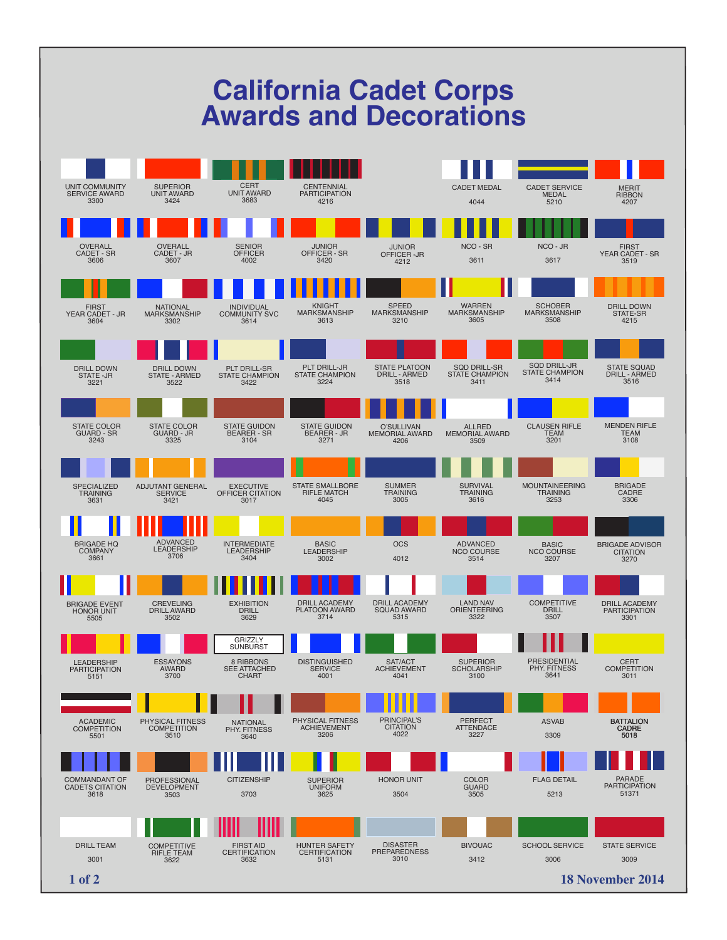